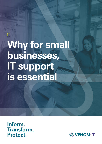# Why for small **businesses, IT support is essential**

**1 Venom IT.** Why for small businesses, IT support is essential

**Inform. Transform. Protect.**

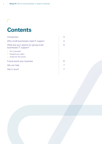## **Contents**

| Introduction                                                                  | 3 |
|-------------------------------------------------------------------------------|---|
| Why small businesses need IT support                                          | 4 |
| What are your options for giving small<br>businesses IT support?              | 5 |
| $\Box$ Do it yourself<br>$L$ Expand your team<br>$\Box$ Invest for the future |   |
| Future-proof your business                                                    |   |
| We can help                                                                   |   |
| Get in touch                                                                  |   |
|                                                                               |   |

 $\Box$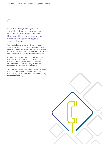Essential? Really? Well, yes. And, fortunately, there are many services available that offer small businesses IT support. Here's why these support networks are integral for today's small businesses.

Technology has come along in leaps and bounds since we all had to stay safe and stay home. Remote working systems and online meetings have become part of our everyday lives. Unsurprisingly, this has led to a dramatic shift in the way businesses operate.

A company's location is no longer relevant. Your |staff can work from the moon if Richard Branson's space hotel plans take off. And companies can take advantage of new technological innovations to enhance the capabilities of their team.

This means it's easier than ever for small businesses to compete with large corporations. But the right IT support system is what will enable your company to rise to the challenge.

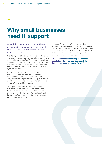#### **Why small businesses need IT support**

A solid IT infrastructure is the backbone of the modern organization. And without IT competencies, business owners can't expect to go far.

Yes, it's important to have the right hardware to keep up with your operations, and the most efficient software for your employees to use. But it's vital that you also have systems in place to protect your business. These safety measures must be robust enough to deal with anything from a minor malfunction to a data breach or a major cybersecurity threat.

For many small businesses, IT support isn't given the priority it deserves because owners tend to underestimate the level of support they require. They only implement professional IT support protocols after they've learned how important they are the hard way. Don't be one of those people.

These people think small businesses don't need IT support. Their systems need less maintenance, their teams are small, so cyber attackers must have bigger fish to fry. But last year's Verizon Data Breach Investigation Report found that 43% of cyberattacks targeted small businesses.

In a time of crisis, wouldn't it be handy to have a knowledgeable support team to fall back on? Or better yet. Wouldn't it be great to have no catastrophe to worry about in the first place? Safe in the knowledge that your support service is working in the background to keep the online elements of your business running smoothly.

**Those in the IT industry keep themselves regularly updated on how to prevent the latest cybersecurity threats. Do you?**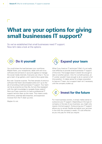#### **What are your options for giving small businesses IT support?**

So we've established that small businesses need IT support. Now let's take a look at the options.



You could share the load between your workforce. Maybe Karen, your receptionist, deals with anti-virus software and someone in accounts agrees to manage the social media channels. Everyone can chip in. You've got a team of go-getters, and it seems like a great idea.

But wait. Surprise surprise. The free sample of antivirus software that Karen downloaded online isn't up to the job of providing small businesses IT support. Your team can be as proactive as they like, but are they equipped with the right knowledge to navigate these waters? Now you'll pay a premium to have a professional IT support service clean up the mess. This means costly downtime, potential data breaches, and expensive invoices from the IT clean up crew.

Maybe it's not.



What if you hired an IT technician? Well, it's not really cost effective to provide small businesses IT support of this kind. The budget doesn't stretch far enough to take on another person. And, for a small business, an IT worker wouldn't have enough to do to warrant a full time position. It makes sense for a large corporation to have an IT team, but a support team isn't necessary until the company scales up.



For most business owners, it simply makes sense to outsource your IT support. Depending on the type of company or the size of your business, you might only require minimal support. Outsourcing your IT support allows you to remain flexible and adjust your services in line with the company's needs. It's cost effective as you only pay for what you require.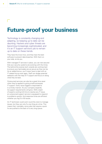### **Future-proof your business**

Technology is constantly changing and adapting, so keeping up to date can be daunting. Hackers and cyber threats are becoming increasingly sophisticated, and it's an IT support service's job to remain up to date on these trends.

They have the know-how, and they have the best software to prevent data breaches. With them on your side, so do you.

With managed IT services in place, you can rest assured that your security systems are evolving with the times. The behind-the-scenes tech wizards are working hard to ensure your barricades are as secure as they can be. As an added bonus, you'll never have to deal with an IT related hiccup ever again. Staff can dodge potential setbacks with the help of IT support and focus on doing what they do best.

Outsourced services can also be a great time saver when they're applied to giving small businesses IT support. Every issue logged is responded to in a timely manner. As your company expands, its support requirements will grow. With a team of experts working full time to resolve any IT issue, an outsourced support service is equipped to respond to problems quickly. And response times are efficient whether you log 5 or 50 issues.

An IT technician could work round the clock to manage issues, but they can only fix one thing at a time. This means that, inevitably, some jobs that require a quick fix are pushed to the back of a very long queue.